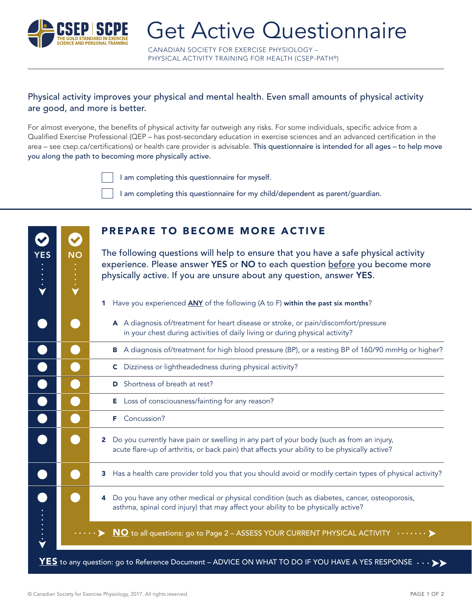

YES NO

CANADIAN SOCIETY FOR EXERCISE PHYSIOLOGY – PHYSICAL ACTIVITY TRAINING FOR HEALTH (CSEP-PATH®)

#### Physical activity improves your physical and mental health. Even small amounts of physical activity are good, and more is better.

For almost everyone, the benefits of physical activity far outweigh any risks. For some individuals, specific advice from a Qualified Exercise Professional (QEP – has post-secondary education in exercise sciences and an advanced certification in the area – see csep.ca/certifications) or health care provider is advisable. This questionnaire is intended for all ages – to help move you along the path to becoming more physically active.

I am completing this questionnaire for myself.

I am completing this questionnaire for my child/dependent as parent/guardian.

| <b>PREPARE TO BECOME MORE ACTIVE</b> |  |  |
|--------------------------------------|--|--|
|                                      |  |  |

The following questions will help to ensure that you have a safe physical activity experience. Please answer YES or NO to each question before you become more

|                                                                                                                                                                                                           | physically active. If you are unsure about any question, answer YES. |  |  |  |
|-----------------------------------------------------------------------------------------------------------------------------------------------------------------------------------------------------------|----------------------------------------------------------------------|--|--|--|
| Have you experienced <b>ANY</b> of the following (A to F) within the past six months?                                                                                                                     |                                                                      |  |  |  |
| A A diagnosis of/treatment for heart disease or stroke, or pain/discomfort/pressure<br>in your chest during activities of daily living or during physical activity?                                       |                                                                      |  |  |  |
| B A diagnosis of/treatment for high blood pressure (BP), or a resting BP of 160/90 mmHg or higher?                                                                                                        |                                                                      |  |  |  |
| C Dizziness or lightheadedness during physical activity?                                                                                                                                                  |                                                                      |  |  |  |
| <b>D</b> Shortness of breath at rest?                                                                                                                                                                     |                                                                      |  |  |  |
| E Loss of consciousness/fainting for any reason?                                                                                                                                                          |                                                                      |  |  |  |
| Concussion?<br>F.                                                                                                                                                                                         |                                                                      |  |  |  |
| Do you currently have pain or swelling in any part of your body (such as from an injury,<br>$\mathbf{2}$<br>acute flare-up of arthritis, or back pain) that affects your ability to be physically active? |                                                                      |  |  |  |
| Has a health care provider told you that you should avoid or modify certain types of physical activity?<br>3                                                                                              |                                                                      |  |  |  |
| Do you have any other medical or physical condition (such as diabetes, cancer, osteoporosis,<br>4<br>asthma, spinal cord injury) that may affect your ability to be physically active?                    |                                                                      |  |  |  |
| $\underline{\text{NO}}$ to all questions: go to Page 2 - ASSESS YOUR CURRENT PHYSICAL ACTIVITY $\dots \dots$                                                                                              |                                                                      |  |  |  |
|                                                                                                                                                                                                           |                                                                      |  |  |  |

 $\mathbf{YES}$  to any question: go to Reference Document – ADVICE ON WHAT TO DO IF YOU HAVE A YES RESPONSI